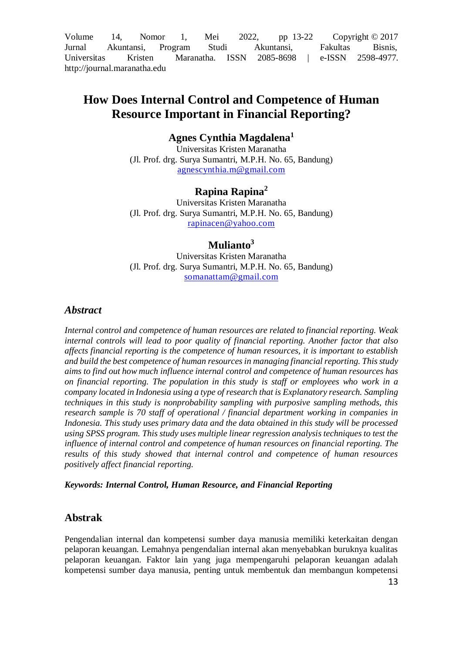Volume 14, Nomor 1, Mei 2022, pp  $13-22$  Copyright  $\odot$  2017 Jurnal Akuntansi, Program Studi Akuntansi, Fakultas Bisnis, Universitas Kristen Maranatha. ISSN 2085-8698 | e-ISSN 2598-4977. http://journal.maranatha.edu

# **How Does Internal Control and Competence of Human Resource Important in Financial Reporting?**

## **Agnes Cynthia Magdalena<sup>1</sup>**

Universitas Kristen Maranatha (Jl. Prof. drg. Surya Sumantri, M.P.H. No. 65, Bandung) [agnescynthia.m@gmail.com](mailto:agnescynthia.m@gmail.com)

## **Rapina Rapina<sup>2</sup>**

Universitas Kristen Maranatha (Jl. Prof. drg. Surya Sumantri, M.P.H. No. 65, Bandung) [rapinacen@yahoo.com](mailto:rapinacen@yahoo.com)

## **Mulianto<sup>3</sup>**

Universitas Kristen Maranatha (Jl. Prof. drg. Surya Sumantri, M.P.H. No. 65, Bandung) [somanattam@gmail.com](mailto:somanattam@gmail.com)

## *Abstract*

*Internal control and competence of human resources are related to financial reporting. Weak internal controls will lead to poor quality of financial reporting. Another factor that also affects financial reporting is the competence of human resources, it is important to establish and build the best competence of human resources in managing financial reporting. This study aims to find out how much influence internal control and competence of human resources has on financial reporting. The population in this study is staff or employees who work in a company located in Indonesia using a type of research that is Explanatory research. Sampling techniques in this study is nonprobability sampling with purposive sampling methods, this research sample is 70 staff of operational / financial department working in companies in Indonesia. This study uses primary data and the data obtained in this study will be processed using SPSS program. This study uses multiple linear regression analysis techniques to test the influence of internal control and competence of human resources on financial reporting. The*  results of this study showed that internal control and competence of human resources *positively affect financial reporting.*

#### *Keywords: Internal Control, Human Resource, and Financial Reporting*

## **Abstrak**

Pengendalian internal dan kompetensi sumber daya manusia memiliki keterkaitan dengan pelaporan keuangan. Lemahnya pengendalian internal akan menyebabkan buruknya kualitas pelaporan keuangan. Faktor lain yang juga mempengaruhi pelaporan keuangan adalah kompetensi sumber daya manusia, penting untuk membentuk dan membangun kompetensi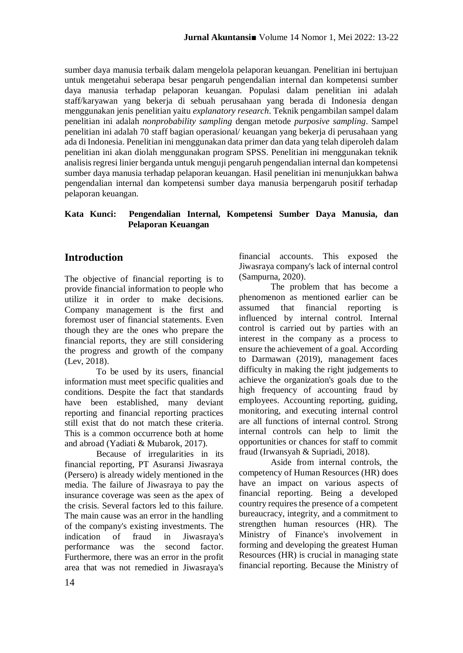sumber daya manusia terbaik dalam mengelola pelaporan keuangan. Penelitian ini bertujuan untuk mengetahui seberapa besar pengaruh pengendalian internal dan kompetensi sumber daya manusia terhadap pelaporan keuangan. Populasi dalam penelitian ini adalah staff/karyawan yang bekerja di sebuah perusahaan yang berada di Indonesia dengan menggunakan jenis penelitian yaitu *explanatory research*. Teknik pengambilan sampel dalam penelitian ini adalah *nonprobability sampling* dengan metode *purposive sampling*. Sampel penelitian ini adalah 70 staff bagian operasional/ keuangan yang bekerja di perusahaan yang ada di Indonesia. Penelitian ini menggunakan data primer dan data yang telah diperoleh dalam penelitian ini akan diolah menggunakan program SPSS. Penelitian ini menggunakan teknik analisis regresi linier berganda untuk menguji pengaruh pengendalian internal dan kompetensi sumber daya manusia terhadap pelaporan keuangan. Hasil penelitian ini menunjukkan bahwa pengendalian internal dan kompetensi sumber daya manusia berpengaruh positif terhadap pelaporan keuangan.

## **Kata Kunci: Pengendalian Internal, Kompetensi Sumber Daya Manusia, dan Pelaporan Keuangan**

## **Introduction**

The objective of financial reporting is to provide financial information to people who utilize it in order to make decisions. Company management is the first and foremost user of financial statements. Even though they are the ones who prepare the financial reports, they are still considering the progress and growth of the company (Lev, 2018).

To be used by its users, financial information must meet specific qualities and conditions. Despite the fact that standards have been established, many deviant reporting and financial reporting practices still exist that do not match these criteria. This is a common occurrence both at home and abroad (Yadiati & Mubarok, 2017).

Because of irregularities in its financial reporting, PT Asuransi Jiwasraya (Persero) is already widely mentioned in the media. The failure of Jiwasraya to pay the insurance coverage was seen as the apex of the crisis. Several factors led to this failure. The main cause was an error in the handling of the company's existing investments. The indication of fraud in Jiwasraya's performance was the second factor. Furthermore, there was an error in the profit area that was not remedied in Jiwasraya's

financial accounts. This exposed the Jiwasraya company's lack of internal control (Sampurna, 2020).

The problem that has become a phenomenon as mentioned earlier can be assumed that financial reporting is influenced by internal control. Internal control is carried out by parties with an interest in the company as a process to ensure the achievement of a goal. According to Darmawan (2019), management faces difficulty in making the right judgements to achieve the organization's goals due to the high frequency of accounting fraud by employees. Accounting reporting, guiding, monitoring, and executing internal control are all functions of internal control. Strong internal controls can help to limit the opportunities or chances for staff to commit fraud (Irwansyah & Supriadi, 2018).

Aside from internal controls, the competency of Human Resources (HR) does have an impact on various aspects of financial reporting. Being a developed country requires the presence of a competent bureaucracy, integrity, and a commitment to strengthen human resources (HR). The Ministry of Finance's involvement in forming and developing the greatest Human Resources (HR) is crucial in managing state financial reporting. Because the Ministry of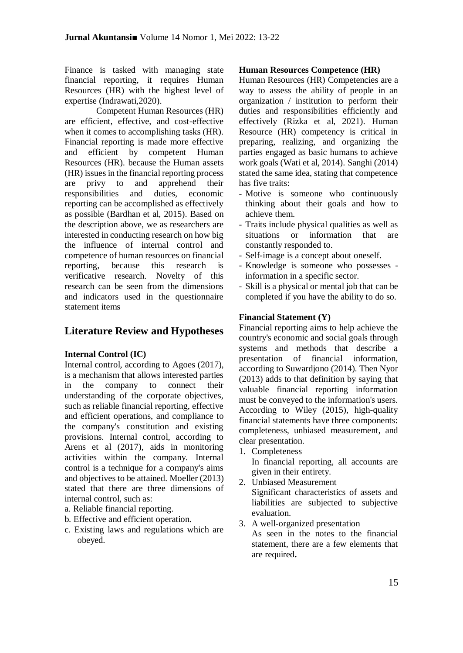Finance is tasked with managing state financial reporting, it requires Human Resources (HR) with the highest level of expertise (Indrawati,2020).

Competent Human Resources (HR) are efficient, effective, and cost-effective when it comes to accomplishing tasks (HR). Financial reporting is made more effective and efficient by competent Human Resources (HR). because the Human assets (HR) issues in the financial reporting process are privy to and apprehend their responsibilities and duties, economic reporting can be accomplished as effectively as possible (Bardhan et al, 2015). Based on the description above, we as researchers are interested in conducting research on how big the influence of internal control and competence of human resources on financial reporting, because this research is verificative research. Novelty of this research can be seen from the dimensions and indicators used in the questionnaire statement items

# **Literature Review and Hypotheses**

## **Internal Control (IC)**

Internal control, according to Agoes (2017), is a mechanism that allows interested parties in the company to connect their understanding of the corporate objectives, such as reliable financial reporting, effective and efficient operations, and compliance to the company's constitution and existing provisions. Internal control, according to Arens et al (2017), aids in monitoring activities within the company. Internal control is a technique for a company's aims and objectives to be attained. Moeller (2013) stated that there are three dimensions of internal control, such as:

- a. Reliable financial reporting.
- b. Effective and efficient operation.
- c. Existing laws and regulations which are obeyed.

## **Human Resources Competence (HR)**

Human Resources (HR) Competencies are a way to assess the ability of people in an organization / institution to perform their duties and responsibilities efficiently and effectively (Rizka et al, 2021). Human Resource (HR) competency is critical in preparing, realizing, and organizing the parties engaged as basic humans to achieve work goals (Wati et al, 2014). Sanghi (2014) stated the same idea, stating that competence has five traits:

- Motive is someone who continuously thinking about their goals and how to achieve them.
- Traits include physical qualities as well as situations or information that are constantly responded to.
- Self-image is a concept about oneself.
- Knowledge is someone who possesses information in a specific sector.
- Skill is a physical or mental job that can be completed if you have the ability to do so.

## **Financial Statement (Y)**

Financial reporting aims to help achieve the country's economic and social goals through systems and methods that describe a presentation of financial information, according to Suwardjono (2014). Then Nyor (2013) adds to that definition by saying that valuable financial reporting information must be conveyed to the information's users. According to Wiley (2015), high-quality financial statements have three components: completeness, unbiased measurement, and clear presentation.

1. Completeness

In financial reporting, all accounts are given in their entirety.

- 2. Unbiased Measurement Significant characteristics of assets and liabilities are subjected to subjective evaluation.
- 3. A well-organized presentation As seen in the notes to the financial statement, there are a few elements that are required**.**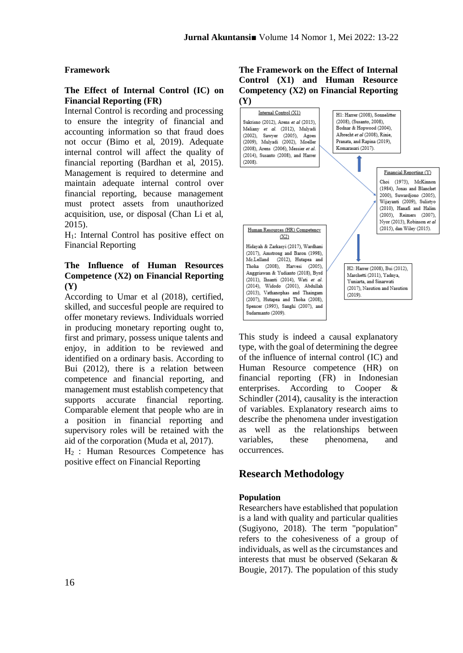### **Framework**

### **The Effect of Internal Control (IC) on Financial Reporting (FR)**

Internal Control is recording and processing to ensure the integrity of financial and accounting information so that fraud does not occur (Bimo et al, 2019). Adequate internal control will affect the quality of financial reporting (Bardhan et al, 2015). Management is required to determine and maintain adequate internal control over financial reporting, because management must protect assets from unauthorized acquisition, use, or disposal (Chan Li et al, 2015).

H1: Internal Control has positive effect on Financial Reporting

## **The Influence of Human Resources Competence (X2) on Financial Reporting (Y)**

According to Umar et al (2018), certified, skilled, and succesful people are required to offer monetary reviews. Individuals worried in producing monetary reporting ought to, first and primary, possess unique talents and enjoy, in addition to be reviewed and identified on a ordinary basis. According to Bui (2012), there is a relation between competence and financial reporting, and management must establish competency that supports accurate financial reporting. Comparable element that people who are in a position in financial reporting and supervisory roles will be retained with the aid of the corporation (Muda et al, 2017).

H<sup>2</sup> : Human Resources Competence has positive effect on Financial Reporting

### **The Framework on the Effect of Internal Control (X1) and Human Resource Competency (X2) on Financial Reporting (Y)**



This study is indeed a causal explanatory type, with the goal of determining the degree of the influence of internal control (IC) and Human Resource competence (HR) on financial reporting (FR) in Indonesian enterprises. According to Cooper & Schindler (2014), causality is the interaction of variables. Explanatory research aims to describe the phenomena under investigation as well as the relationships between variables, these phenomena, and occurrences.

## **Research Methodology**

#### **Population**

Researchers have established that population is a land with quality and particular qualities (Sugiyono, 2018). The term "population" refers to the cohesiveness of a group of individuals, as well as the circumstances and interests that must be observed (Sekaran & Bougie, 2017). The population of this study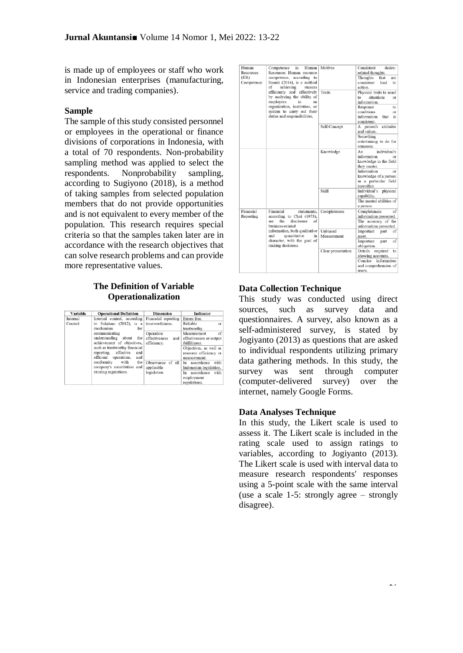is made up of employees or staff who work in Indonesian enterprises (manufacturing, service and trading companies).

#### **Sample**

The sample of this study consisted personnel or employees in the operational or finance divisions of corporations in Indonesia, with a total of 70 respondents. Non-probability sampling method was applied to select the respondents. Nonprobability sampling, according to Sugiyono (2018), is a method of taking samples from selected population members that do not provide opportunities and is not equivalent to every member of the population. This research requires special criteria so that the samples taken later are in accordance with the research objectives that can solve research problems and can provide more representative values.

#### **The Definition of Variable Operationalization**

| Variable | <b>Operational Definition</b>   | <b>Dimension</b>     | <b>Indicator</b>         |
|----------|---------------------------------|----------------------|--------------------------|
| Internal | Internal control, according     | Financial reporting  | Errors free.             |
| Control  | to Sukrisno (2012), is a        | trustworthiness.     | Reliable<br>or           |
|          | mechanism<br>for                |                      | trustworthy.             |
|          | communicating                   | Operation            | Measurement<br>of        |
|          | understanding<br>about<br>the   | effectiveness<br>and | effectiveness or output  |
|          | achievement of objectives,      | efficiency.          | fulfillment.             |
|          | such as trustworthy financial   |                      | Objectives, as well as   |
|          | effective<br>and<br>reporting,  |                      | resource efficiency or   |
|          | efficient<br>operations,<br>and |                      | measurement.             |
|          | conformity<br>with<br>the       | Observance of all    | with<br>accordance<br>In |
|          | company's constitution<br>and   | applicable           | Indonesian legislation.  |
|          | existing regulations.           | legislation          | accordance<br>with<br>In |
|          |                                 |                      | employment               |
|          |                                 |                      | regulations.             |

| Human<br>Resources<br>(HR)<br>Competence | Competence<br>in<br>Human<br>Resources Human resource<br>competence, according to<br>Ihsanti (2014), is a method<br>achieving<br>of<br>success<br>efficiently and effectively<br>by analyzing the ability of<br>employees<br>in<br>an<br>organization, institution, or<br>system to carry out their<br>duties and responsibilities. | Motives<br>Traits       | Consistent<br>desire-<br>related thoughts.<br>Thoughts<br>that<br>are<br>consistent<br>lead<br>to<br>action.<br>Physical traits to react<br>situations<br>$t_{\Omega}$<br>or<br>information.<br>Response<br>to<br>conditions<br>or<br>information<br>that<br>is<br>consistent. |
|------------------------------------------|-------------------------------------------------------------------------------------------------------------------------------------------------------------------------------------------------------------------------------------------------------------------------------------------------------------------------------------|-------------------------|--------------------------------------------------------------------------------------------------------------------------------------------------------------------------------------------------------------------------------------------------------------------------------|
|                                          |                                                                                                                                                                                                                                                                                                                                     | Self-Concept            | A person's attitudes<br>and values.<br>Something<br>entertaining to do for<br>someone.                                                                                                                                                                                         |
|                                          |                                                                                                                                                                                                                                                                                                                                     | Knowledge               | individual's<br>An<br>information<br>or<br>knowledge in the field<br>they master.<br>Information<br>or<br>knowledge of a person<br>in a particular field<br>(specific).                                                                                                        |
|                                          |                                                                                                                                                                                                                                                                                                                                     | Skill                   | Individual's<br>physical<br>capability.<br>The mental abilities of<br>a person.                                                                                                                                                                                                |
| Financial<br>Reporting                   | Financial<br>statements,<br>according to Choi (1973),<br>the<br>are<br>disclosure<br>of<br>business-related                                                                                                                                                                                                                         | Completeness            | Completeness<br>of<br>information presented.<br>The accuracy of the<br>information presented.                                                                                                                                                                                  |
|                                          | information, both qualitative<br>and<br>quantitative<br>in<br>character, with the goal of<br>making decisions.                                                                                                                                                                                                                      | Unbiased<br>Measurement | Important<br>part<br>of<br>asset.<br>Important<br>of<br>part<br>obligation.                                                                                                                                                                                                    |
|                                          |                                                                                                                                                                                                                                                                                                                                     | Clear presentation      | Details<br>required<br>to<br>showing accounts.<br>Concise<br>information<br>and comprehension of<br>users.                                                                                                                                                                     |

#### **Data Collection Technique**

This study was conducted using direct sources, such as survey data and questionnaires. A survey, also known as a self-administered survey, is stated by Jogiyanto (2013) as questions that are asked to individual respondents utilizing primary data gathering methods. In this study, the survey was sent through computer (computer-delivered survey) over the internet, namely Google Forms.

#### **Data Analyses Technique**

In this study, the Likert scale is used to assess it. The Likert scale is included in the rating scale used to assign ratings to variables, according to Jogiyanto (2013). The Likert scale is used with interval data to measure research respondents' responses using a 5-point scale with the same interval (use a scale 1-5: strongly agree – strongly disagree).

 $\overline{17}$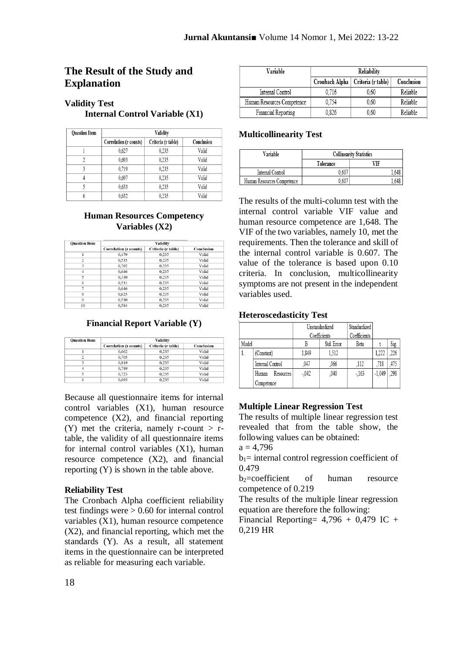## **The Result of the Study and Explanation**

## **Validity Test**

**Internal Control Variable (X1)**

| <b>Ouestion Item</b> | Validity               |                                  |       |  |  |
|----------------------|------------------------|----------------------------------|-------|--|--|
|                      | Correlation (r counts) | Criteria (r table)<br>Conclusion |       |  |  |
|                      | 0.627                  | 0.235                            | Valid |  |  |
|                      | 0.693                  | 0.235                            | Valid |  |  |
|                      | 0.719                  | 0.235                            | Valid |  |  |
|                      | 0.697                  | 0.235                            | Valid |  |  |
|                      | 0.633                  | 0,235                            | Valid |  |  |
|                      | 0.632                  | 0,235                            | Valid |  |  |

### **Human Resources Competency Variables (X2)**

| <b>Ouestion Item</b> | Validity                      |                    |            |
|----------------------|-------------------------------|--------------------|------------|
|                      | <b>Correlation (r counts)</b> | Criteria (r table) | Conclusion |
|                      | 0,479                         | 0,235              | Valid      |
| $\overline{c}$       | 0,535                         | 0,235              | Valid      |
| 3                    | 0.702                         | 0.235              | Valid      |
| $\overline{4}$       | 0,646                         | 0,235              | Valid      |
| 5                    | 0,330                         | 0,235              | Valid      |
| 6                    | 0,531                         | 0,235              | Valid      |
| 7                    | 0.646                         | 0.235              | Valid      |
| 8                    | 0.625                         | 0,235              | Valid      |
| $\mathbf Q$          | 0.530                         | 0,235              | Valid      |
| 10                   | 0.584                         | 0.235              | Valid      |

#### **Financial Report Variable (Y)**

| <b>Ouestion Item</b> | Validity                      |                    |            |  |  |
|----------------------|-------------------------------|--------------------|------------|--|--|
|                      | <b>Correlation (r counts)</b> | Criteria (r table) | Conclusion |  |  |
|                      | 0,662                         | 0,235              | Valid      |  |  |
| n                    | 0.705                         | 0.235              | Valid      |  |  |
|                      | 0.819                         | 0.235              | Valid      |  |  |
|                      | 0.789                         | 0.235              | Valid      |  |  |
|                      | 0.723                         | 0.235              | Valid      |  |  |
| 6                    | 0.695                         | 0,235              | Valid      |  |  |

Because all questionnaire items for internal control variables (X1), human resource competence (X2), and financial reporting (Y) met the criteria, namely r-count  $>$  rtable, the validity of all questionnaire items for internal control variables (X1), human resource competence (X2), and financial reporting (Y) is shown in the table above.

## **Reliability Test**

The Cronbach Alpha coefficient reliability test findings were > 0.60 for internal control variables (X1), human resource competence (X2), and financial reporting, which met the standards (Y). As a result, all statement items in the questionnaire can be interpreted as reliable for measuring each variable.

| Variable                   | Reliability    |                    |            |
|----------------------------|----------------|--------------------|------------|
|                            | Cronbach Alpha | Criteria (r table) | Conclusion |
| Internal Control           | 0.716          | 0.60               | Reliable   |
| Human Resources Competence | 0.754          | 0.60               | Reliable   |
| Financial Reporting        | 0.826          | 0.60               | Reliable   |

### **Multicollinearity Test**

| Variable                   | <b>Collinearity Statistics</b> |       |  |
|----------------------------|--------------------------------|-------|--|
|                            | Tolerance                      | VIF   |  |
| Internal Control           | $0.60^{\circ}$                 | 1.648 |  |
| Human Resources Competence | 0.60                           | . 648 |  |

The results of the multi-column test with the internal control variable VIF value and human resource competence are 1,648. The VIF of the two variables, namely 10, met the requirements. Then the tolerance and skill of the internal control variable is 0.607. The value of the tolerance is based upon 0.10 criteria. In conclusion, multicollinearity symptoms are not present in the independent variables used.

#### **Heteroscedasticity Test**

|       |                    | Unstandardized<br>Coefficients |            | Standardized<br>Coefficients |          |      |
|-------|--------------------|--------------------------------|------------|------------------------------|----------|------|
| Model |                    |                                | Std. Error | Beta                         |          | Sig. |
| 1.    | (Constant)         | 1.849                          | 1.512      |                              | 1.222    | .226 |
|       | Internal Control   | ,047                           | .066       | .112                         | .718     | .475 |
|       | Human<br>Resources | $-042$                         | .040       | $-163$                       | $-1.049$ | .298 |
|       | Competence         |                                |            |                              |          |      |

## **Multiple Linear Regression Test**

The results of multiple linear regression test revealed that from the table show, the following values can be obtained:

 $a = 4.796$ 

 $b_1$ = internal control regression coefficient of 0.479

 $b_2$ =coefficient of human resource competence of 0.219

The results of the multiple linear regression equation are therefore the following:

Financial Reporting=  $4,796 + 0,479$  IC + 0,219 HR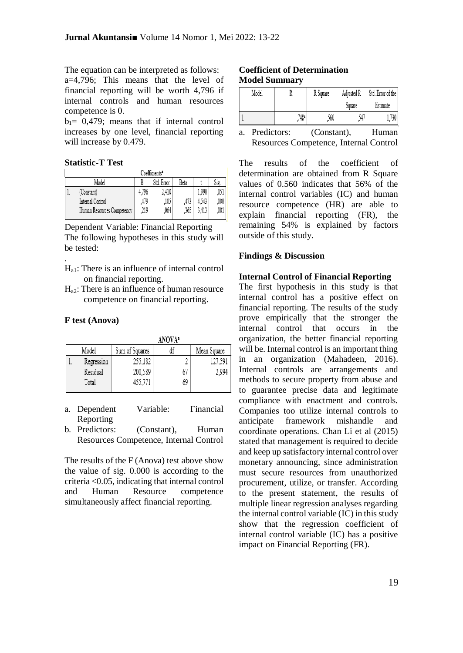The equation can be interpreted as follows: a=4,796; This means that the level of financial reporting will be worth 4,796 if internal controls and human resources competence is 0.

 $b_1 = 0.479$ ; means that if internal control increases by one level, financial reporting will increase by 0.479.

### **Statistic-T Test**

|                             | Coefficients <sup>a</sup>  |       |       |      |       |         |
|-----------------------------|----------------------------|-------|-------|------|-------|---------|
| Std. Error<br>Model<br>Beta |                            |       |       |      | Sig.  |         |
|                             | (Constant)                 | 4.796 | 2.410 |      | 1.990 | .051    |
|                             | Internal Control           | .479  | .105  |      | 4.543 | $000\,$ |
|                             | Human Resources Competency | ,219  | .064  | .365 | 3.413 | 001     |

Dependent Variable: Financial Reporting The following hypotheses in this study will be tested:

- Ha1: There is an influence of internal control on financial reporting.
- $H<sub>a2</sub>$ : There is an influence of human resource competence on financial reporting.

#### **F test (Anova)**

.

|            |                | <b>ANOVAª</b> |             |
|------------|----------------|---------------|-------------|
| Model      | Sum of Squares | df            | Mean Square |
| Regression | 255,182        |               | 127,591     |
| Residual   | 200,589        | 67            | 2,994       |
| Total      | 455,771        | 69            |             |
|            |                |               |             |

| a. Dependent | Variable: | Financial |
|--------------|-----------|-----------|
| Reporting    |           |           |

b. Predictors: (Constant), Human Resources Competence, Internal Control

The results of the F (Anova) test above show the value of sig. 0.000 is according to the criteria <0.05, indicating that internal control and Human Resource competence simultaneously affect financial reporting.

#### **Coefficient of Determination Model Summary**

| Model |                  | R Square | Adjusted R | Std. Error of the |
|-------|------------------|----------|------------|-------------------|
|       |                  |          | Square     | Estimate          |
| ı.    | 748 <sup>2</sup> | .560     | .547       | 1,730             |

a. Predictors: (Constant), Human Resources Competence, Internal Control

The results of the coefficient of determination are obtained from R Square values of 0.560 indicates that 56% of the internal control variables (IC) and human resource competence (HR) are able to explain financial reporting (FR), the remaining 54% is explained by factors outside of this study.

#### **Findings & Discussion**

#### **Internal Control of Financial Reporting**

The first hypothesis in this study is that internal control has a positive effect on financial reporting. The results of the study prove empirically that the stronger the internal control that occurs in the organization, the better financial reporting will be. Internal control is an important thing in an organization (Mahadeen, 2016). Internal controls are arrangements and methods to secure property from abuse and to guarantee precise data and legitimate compliance with enactment and controls. Companies too utilize internal controls to anticipate framework mishandle and coordinate operations. Chan Li et al (2015) stated that management is required to decide and keep up satisfactory internal control over monetary announcing, since administration must secure resources from unauthorized procurement, utilize, or transfer. According to the present statement, the results of multiple linear regression analyses regarding the internal control variable (IC) in this study show that the regression coefficient of internal control variable (IC) has a positive impact on Financial Reporting (FR).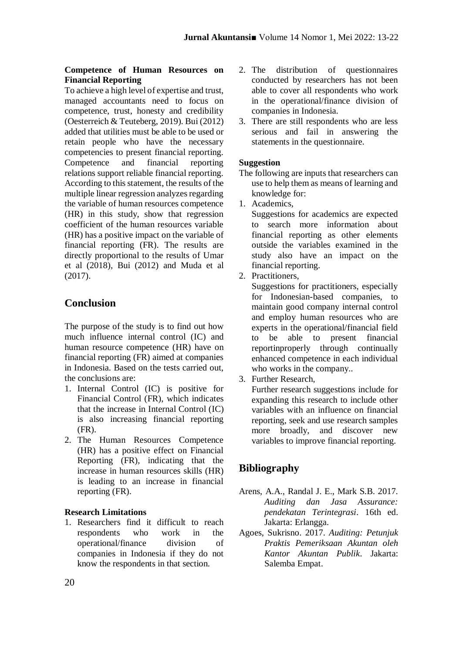## **Competence of Human Resources on Financial Reporting**

To achieve a high level of expertise and trust, managed accountants need to focus on competence, trust, honesty and credibility (Oesterreich & Teuteberg, 2019). Bui (2012) added that utilities must be able to be used or retain people who have the necessary competencies to present financial reporting.<br>Competence and financial reporting Competence and financial reporting relations support reliable financial reporting. According to this statement, the results of the multiple linear regression analyzes regarding the variable of human resources competence (HR) in this study, show that regression coefficient of the human resources variable (HR) has a positive impact on the variable of financial reporting (FR). The results are directly proportional to the results of Umar et al (2018), Bui (2012) and Muda et al (2017).

# **Conclusion**

The purpose of the study is to find out how much influence internal control (IC) and human resource competence (HR) have on financial reporting (FR) aimed at companies in Indonesia. Based on the tests carried out, the conclusions are:

- 1. Internal Control (IC) is positive for Financial Control (FR), which indicates that the increase in Internal Control (IC) is also increasing financial reporting (FR).
- 2. The Human Resources Competence (HR) has a positive effect on Financial Reporting (FR), indicating that the increase in human resources skills (HR) is leading to an increase in financial reporting (FR).

## **Research Limitations**

1. Researchers find it difficult to reach respondents who work in the operational/finance division of companies in Indonesia if they do not know the respondents in that section.

- 2. The distribution of questionnaires conducted by researchers has not been able to cover all respondents who work in the operational/finance division of companies in Indonesia.
- 3. There are still respondents who are less serious and fail in answering the statements in the questionnaire.

## **Suggestion**

- The following are inputs that researchers can use to help them as means of learning and knowledge for:
- 1. Academics,

Suggestions for academics are expected to search more information about financial reporting as other elements outside the variables examined in the study also have an impact on the financial reporting.

2. Practitioners,

Suggestions for practitioners, especially for Indonesian-based companies, to maintain good company internal control and employ human resources who are experts in the operational/financial field to be able to present financial reportinproperly through continually enhanced competence in each individual who works in the company..

3. Further Research,

Further research suggestions include for expanding this research to include other variables with an influence on financial reporting, seek and use research samples more broadly, and discover new variables to improve financial reporting.

# **Bibliography**

- Arens, A.A., Randal J. E., Mark S.B. 2017. *Auditing dan Jasa Assurance: pendekatan Terintegrasi*. 16th ed. Jakarta: Erlangga.
- Agoes, Sukrisno. 2017. *Auditing: Petunjuk Praktis Pemeriksaan Akuntan oleh Kantor Akuntan Publik*. Jakarta: Salemba Empat.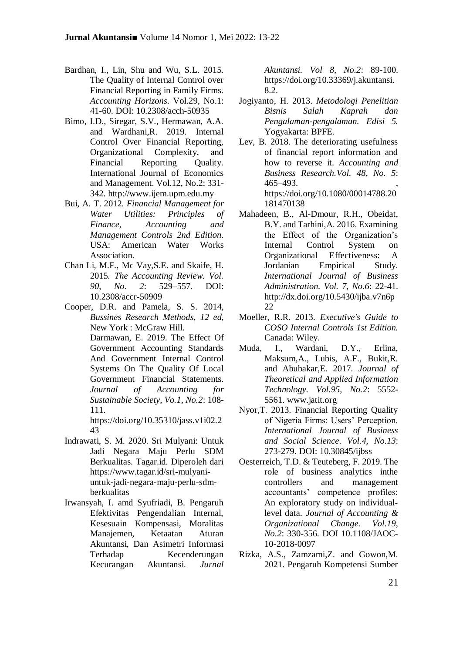- Bardhan, I., Lin, Shu and Wu, S.L. 2015. The Quality of Internal Control over Financial Reporting in Family Firms. *Accounting Horizons*. Vol.29, No.1: 41-60. DOI: 10.2308/acch-50935
- Bimo, I.D., Siregar, S.V., Hermawan, A.A. and Wardhani,R. 2019. Internal Control Over Financial Reporting, Organizational Complexity, and Financial Reporting Ouality. International Journal of Economics and Management. Vol.12, No.2: 331- 342. http://www.ijem.upm.edu.my
- Bui, A. T. 2012. *Financial Management for Water Utilities: Principles of Finance, Accounting and Management Controls 2nd Edition*. USA: American Water Works Association.
- Chan Li, M.F., Mc Vay,S.E. and Skaife, H. 2015*. The Accounting Review. Vol. 90, No. 2*: 529–557*.* DOI: 10.2308/accr-50909
- Cooper, D.R. and Pamela, S. S. 2014, *Bussines Research Methods, 12 ed*, New York : McGraw Hill. Darmawan, E. 2019. The Effect Of Government Accounting Standards And Government Internal Control Systems On The Quality Of Local Government Financial Statements. *Journal of Accounting for Sustainable Society, Vo.1, No.2*: 108- 111.

https://doi.org/10.35310/jass.v1i02.2 43

- Indrawati, S. M. 2020. Sri Mulyani: Untuk Jadi Negara Maju Perlu SDM Berkualitas. Tagar.id. Diperoleh dari https://www.tagar.id/sri-mulyaniuntuk-jadi-negara-maju-perlu-sdmberkualitas
- Irwansyah, I. amd Syufriadi, B. Pengaruh Efektivitas Pengendalian Internal, Kesesuain Kompensasi, Moralitas Manajemen, Ketaatan Aturan Akuntansi, Dan Asimetri Informasi Terhadap Kecenderungan Kecurangan Akuntansi. *Jurnal*

*Akuntansi. Vol 8, No.2*: 89-100. https://doi.org/10.33369/j.akuntansi. 8.2.

- Jogiyanto, H. 2013. *Metodologi Penelitian Bisnis Salah Kaprah dan Pengalaman-pengalaman. Edisi 5.*  Yogyakarta: BPFE*.*
- Lev, B. 2018. The deteriorating usefulness of financial report information and how to reverse it. *Accounting and Business Research.Vol. 48, No. 5*: 465–493. , https://doi.org/10.1080/00014788.20 181470138
- Mahadeen, B., Al-Dmour, R.H., Obeidat, B.Y. and Tarhini,A. 2016. Examining the Effect of the Organization's Internal Control System on Organizational Effectiveness: A Jordanian Empirical Study. *International Journal of Business Administration. Vol. 7, No.6*: 22-41. http://dx.doi.org/10.5430/ijba.v7n6p 22
- Moeller, R.R. 2013. *Executive's Guide to COSO Internal Controls 1st Edition.* Canada: Wiley.
- Muda, I., Wardani, D.Y., Erlina, Maksum,A., Lubis, A.F., Bukit,R. and Abubakar,E. 2017. *Journal of Theoretical and Applied Information Technology. Vol.95, No.2*: 5552- 5561. www.jatit.org
- Nyor,T. 2013. Financial Reporting Quality of Nigeria Firms: Users' Perception. *International Journal of Business and Social Science*. *Vol.4, No.13*: 273-279. DOI: 10.30845/ijbss
- Oesterreich, T.D. & Teuteberg, F. 2019. The role of business analytics inthe controllers and management accountants' competence profiles: An exploratory study on individuallevel data. *Journal of Accounting & Organizational Change. Vol.19, No.2*: 330-356. DOI 10.1108/JAOC-10-2018-0097
- Rizka, A.S., Zamzami,Z. and Gowon,M. 2021. Pengaruh Kompetensi Sumber